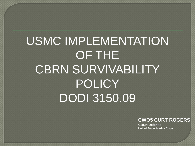# USMC IMPLEMENTATION OF THE CBRN SURVIVABILITY POLICY DODI 3150.09

#### **CWO5 CURT ROGERS**

**CBRN Defense United States Marine Corps**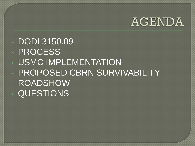### AGENDA

### • DODI 3150.09

- PROCESS
- USMC IMPLEMENTATION
- PROPOSED CBRN SURVIVABILITY ROADSHOW • QUESTIONS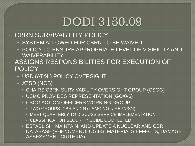### DODI 3150.09

#### **CBRN SURVIVABILITY POLICY**

- SYSTEM ALLOWED FOR CBRN TO BE WAIVED
- POLICY TO ENSURE APPROPRIATE LEVEL OF VISIBILITY AND WAIVERABILITY

#### • ASSIGNS RESPONSIBILITIES FOR EXECUTION OF **POLICY**

- USD (AT&L) POLICY OVERSIGHT
- ATSD (NCB)
	- CHAIRS CBRN SURVIVABILITY OVERSIGHT GROUP (CSOG)
	- USMC PROVIDES REPRESENTATION (GO/0-6)
	- CSOG ACTION OFFICERS WORKING GROUP
		- TWO GROUPS: CBR AND N (USMC NO N REP/USN)
		- MEET QUARTERLY TO DISCUSS SERVICE IMPLEMENTATION
		- CLASSIFICATION SECURITY GUIDE COMPLETED

• ESTABLISH, MAINTAIN, AND UPDATE A NUCLEAR AND CBR DATABASE (PHENOMENOLOGIES, MATERIALS EFFECTS, DAMAGE ASSESSMENT CRITERIA)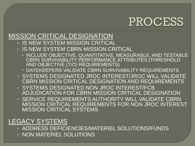### PROCESS

#### MISSION CRITICAL DESIGNATION

- IS NEW SYSTEM MISSION CRITICAL
- IS NEW SYSTEM CBRN MISSION CRITICAL
	- INCLUDE OBJECTIVE, QUANTITATIVE, MEASURABLE, AND TESTABLE CBRN SURVIVABILITY PERFORMANCE ATTRIBUTES (THRESHOLD AND OBJECTIVE (T/O) REQUIREMENTS)
	- GATEKEEPERS VALIDATE CBRN SURVIVABILITY REQUIREMENTS
- SYSTEMS DESIGNATED JROC INTEREST/JROC WILL VALIDATE CBRN MISSION CRITICAL DESIGNATION AND REQUIREMENTS
- SYSTEMS DESIGNATED NON JROC INTEREST/FCB ADJUDICATION FOR CBRN MISSION CRITICAL DESIGNATION
- SERVICE REQUIREMENTS AUTHORITY WILL VALIDATE CBRN MISSION CRITICAL REQUIREMENTS FOR NON JROC INTEREST MISSION CRITICAL SYSTEMS

#### LEGACY SYSTEMS

- ADDRESS DEFICIENCIES/MATERIEL SOLUTIONS/FUNDS
- NON MATERIEL SOLUTIONS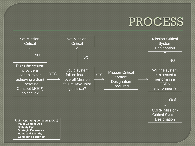### **PROCESS**



 **Major Combat Ops Stability Ops Strategic Deterrence Homeland Security Combating Terrorism**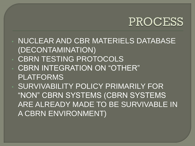### PROCESS

• NUCLEAR AND CBR MATERIELS DATABASE (DECONTAMINATION) • CBRN TESTING PROTOCOLS • CBRN INTEGRATION ON "OTHER" PLATFORMS **SURVIVABILITY POLICY PRIMARILY FOR** "NON" CBRN SYSTEMS (CBRN SYSTEMS ARE ALREADY MADE TO BE SURVIVABLE IN A CBRN ENVIRONMENT)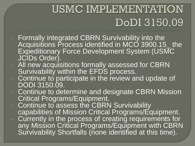## USMC IMPLEMENTATION DoDI 3150.09

- Formally integrated CBRN Survivability into the Acquisitions Process identified in MCO 3900.15\_ the Expeditionary Force Development System (USMC JCIDs Order).
- All new acquisitions formally assessed for CBRN Survivability within the EFDS process.
- Continue to participate in the review and update of DODI 3150.09.
	- Continue to determine and designate CBRN Mission Critical Programs/Equipment.
	- Continue to assess the CBRN Survivability capabilities of Mission Critical Programs/Equipment.
	- Currently in the process of creating requirements for any Mission Critical Programs/Equipment with CBRN Survivability Shortfalls (none identified at this time).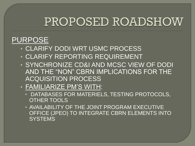### PROPOSED ROADSHOW

### PURPOSE

- CLARIFY DODI WRT USMC PROCESS
- CLARIFY REPORTING REQUIREMENT
- SYNCHRONIZE CD&I AND MCSC VIEW OF DODI AND THE "NON" CBRN IMPLICATIONS FOR THE ACQUISITION PROCESS

#### • FAMILIARIZE PM'S WITH:

- DATABASES FOR MATERIELS, TESTING PROTOCOLS, OTHER TOOLS
- AVAILABILITY OF THE JOINT PROGRAM EXECUTIVE OFFICE (JPEO) TO INTEGRATE CBRN ELEMENTS INTO **SYSTEMS**